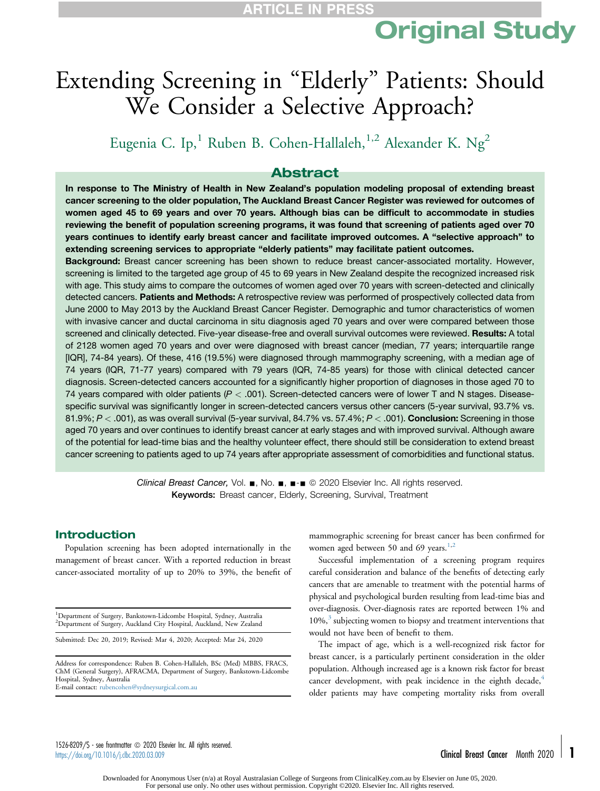# Original Study

## Extending Screening in "Elderly" Patients: Should We Consider a Selective Approach?

Eugenia C. Ip,<sup>1</sup> Ruben B. Cohen-Hallaleh,<sup>1,2</sup> Alexander K. Ng<sup>2</sup>

### Abstract

In response to The Ministry of Health in New Zealand's population modeling proposal of extending breast cancer screening to the older population, The Auckland Breast Cancer Register was reviewed for outcomes of women aged 45 to 69 years and over 70 years. Although bias can be difficult to accommodate in studies reviewing the benefit of population screening programs, it was found that screening of patients aged over 70 years continues to identify early breast cancer and facilitate improved outcomes. A "selective approach" to extending screening services to appropriate "elderly patients" may facilitate patient outcomes.

Background: Breast cancer screening has been shown to reduce breast cancer-associated mortality. However, screening is limited to the targeted age group of 45 to 69 years in New Zealand despite the recognized increased risk with age. This study aims to compare the outcomes of women aged over 70 years with screen-detected and clinically detected cancers. Patients and Methods: A retrospective review was performed of prospectively collected data from June 2000 to May 2013 by the Auckland Breast Cancer Register. Demographic and tumor characteristics of women with invasive cancer and ductal carcinoma in situ diagnosis aged 70 years and over were compared between those screened and clinically detected. Five-year disease-free and overall survival outcomes were reviewed. Results: A total of 2128 women aged 70 years and over were diagnosed with breast cancer (median, 77 years; interquartile range [IQR], 74-84 years). Of these, 416 (19.5%) were diagnosed through mammography screening, with a median age of 74 years (IQR, 71-77 years) compared with 79 years (IQR, 74-85 years) for those with clinical detected cancer diagnosis. Screen-detected cancers accounted for a significantly higher proportion of diagnoses in those aged 70 to 74 years compared with older patients ( $P < .001$ ). Screen-detected cancers were of lower T and N stages. Diseasespecific survival was significantly longer in screen-detected cancers versus other cancers (5-year survival, 93.7% vs. 81.9%;  $P <$  .001), as was overall survival (5-year survival, 84.7% vs. 57.4%;  $P <$  .001). Conclusion: Screening in those aged 70 years and over continues to identify breast cancer at early stages and with improved survival. Although aware of the potential for lead-time bias and the healthy volunteer effect, there should still be consideration to extend breast cancer screening to patients aged to up 74 years after appropriate assessment of comorbidities and functional status.

> Clinical Breast Cancer, Vol.  $\blacksquare$ , No.  $\blacksquare$ ,  $\blacksquare$   $\blacksquare$   $\heartsuit$  2020 Elsevier Inc. All rights reserved. Keywords: Breast cancer, Elderly, Screening, Survival, Treatment

### Introduction

Population screening has been adopted internationally in the management of breast cancer. With a reported reduction in breast cancer-associated mortality of up to 20% to 39%, the benefit of

<sup>1</sup>Department of Surgery, Bankstown-Lidcombe Hospital, Sydney, Australia 2 Department of Surgery, Auckland City Hospital, Auckland, New Zealand

Submitted: Dec 20, 2019; Revised: Mar 4, 2020; Accepted: Mar 24, 2020

Address for correspondence: Ruben B. Cohen-Hallaleh, BSc (Med) MBBS, FRACS, ChM (General Surgery), AFRACMA, Department of Surgery, Bankstown-Lidcombe Hospital, Sydney, Australia E-mail contact: rubencohen@sydneysurgical.com.au

mammographic screening for breast cancer has been confirmed for women aged between 50 and 69 years. $1,2$ 

Successful implementation of a screening program requires careful consideration and balance of the benefits of detecting early cancers that are amenable to treatment with the potential harms of physical and psychological burden resulting from lead-time bias and over-diagnosis. Over-diagnosis rates are reported between 1% and 10%,<sup>3</sup> subjecting women to biopsy and treatment interventions that would not have been of benefit to them.

The impact of age, which is a well-recognized risk factor for breast cancer, is a particularly pertinent consideration in the older population. Although increased age is a known risk factor for breast cancer development, with peak incidence in the eighth decade, $4$ older patients may have competing mortality risks from overall

1526-8209/\$ - see frontmatter @ 2020 Elsevier Inc. All rights reserved.  $\frac{1}{2}$  https://doi.org/10.1016/j.clbc.2020.03.009 Clinical Breast Cancer Month 2020  $\blacksquare$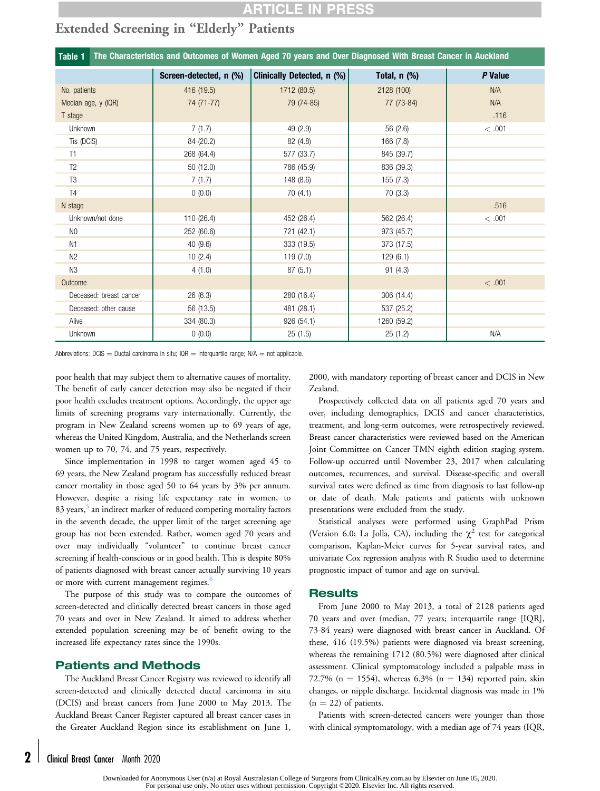## **ARTICLE IN PRES**

## Extended Screening in "Elderly" Patients

| The Characteristics and Outcomes of Women Aged 70 years and Over Diagnosed With Breast Cancer in Auckland<br>Table 1 |                        |                            |              |         |
|----------------------------------------------------------------------------------------------------------------------|------------------------|----------------------------|--------------|---------|
|                                                                                                                      | Screen-detected, n (%) | Clinically Detected, n (%) | Total, n (%) | P Value |
| No. patients                                                                                                         | 416 (19.5)             | 1712 (80.5)                | 2128 (100)   | N/A     |
| Median age, y (IQR)                                                                                                  | 74 (71-77)             | 79 (74-85)                 | 77 (73-84)   | N/A     |
| T stage                                                                                                              |                        |                            |              | .116    |
| Unknown                                                                                                              | 7(1.7)                 | 49 (2.9)                   | 56 (2.6)     | < .001  |
| Tis (DCIS)                                                                                                           | 84 (20.2)              | 82 (4.8)                   | 166 (7.8)    |         |
| T1                                                                                                                   | 268 (64.4)             | 577 (33.7)                 | 845 (39.7)   |         |
| T <sub>2</sub>                                                                                                       | 50(12.0)               | 786 (45.9)                 | 836 (39.3)   |         |
| T <sub>3</sub>                                                                                                       | 7(1.7)                 | 148 (8.6)                  | 155(7.3)     |         |
| T <sub>4</sub>                                                                                                       | 0(0.0)                 | 70(4.1)                    | 70(3.3)      |         |
| N stage                                                                                                              |                        |                            |              | .516    |
| Unknown/not done                                                                                                     | 110 (26.4)             | 452 (26.4)                 | 562 (26.4)   | < .001  |
| N <sub>0</sub>                                                                                                       | 252 (60.6)             | 721 (42.1)                 | 973 (45.7)   |         |
| N <sub>1</sub>                                                                                                       | 40(9.6)                | 333 (19.5)                 | 373 (17.5)   |         |
| N <sub>2</sub>                                                                                                       | 10(2.4)                | 119(7.0)                   | 129(6.1)     |         |
| N3                                                                                                                   | 4(1.0)                 | 87(5.1)                    | 91(4.3)      |         |
| Outcome                                                                                                              |                        |                            |              | < .001  |
| Deceased: breast cancer                                                                                              | 26(6.3)                | 280 (16.4)                 | 306 (14.4)   |         |
| Deceased: other cause                                                                                                | 56 (13.5)              | 481 (28.1)                 | 537 (25.2)   |         |
| Alive                                                                                                                | 334 (80.3)             | 926 (54.1)                 | 1260 (59.2)  |         |
| Unknown                                                                                                              | 0(0.0)                 | 25(1.5)                    | 25(1.2)      | N/A     |

Abbreviations: DCIS = Ductal carcinoma in situ; IQR = interquartile range;  $N/A$  = not applicable.

poor health that may subject them to alternative causes of mortality. The benefit of early cancer detection may also be negated if their poor health excludes treatment options. Accordingly, the upper age limits of screening programs vary internationally. Currently, the program in New Zealand screens women up to 69 years of age, whereas the United Kingdom, Australia, and the Netherlands screen women up to 70, 74, and 75 years, respectively.

Since implementation in 1998 to target women aged 45 to 69 years, the New Zealand program has successfully reduced breast cancer mortality in those aged 50 to 64 years by 3% per annum. However, despite a rising life expectancy rate in women, to 83 years,<sup>5</sup> an indirect marker of reduced competing mortality factors in the seventh decade, the upper limit of the target screening age group has not been extended. Rather, women aged 70 years and over may individually "volunteer" to continue breast cancer screening if health-conscious or in good health. This is despite 80% of patients diagnosed with breast cancer actually surviving 10 years or more with current management regimes.<sup>6</sup>

The purpose of this study was to compare the outcomes of screen-detected and clinically detected breast cancers in those aged 70 years and over in New Zealand. It aimed to address whether extended population screening may be of benefit owing to the increased life expectancy rates since the 1990s.

### Patients and Methods

The Auckland Breast Cancer Registry was reviewed to identify all screen-detected and clinically detected ductal carcinoma in situ (DCIS) and breast cancers from June 2000 to May 2013. The Auckland Breast Cancer Register captured all breast cancer cases in the Greater Auckland Region since its establishment on June 1,

2000, with mandatory reporting of breast cancer and DCIS in New Zealand.

Prospectively collected data on all patients aged 70 years and over, including demographics, DCIS and cancer characteristics, treatment, and long-term outcomes, were retrospectively reviewed. Breast cancer characteristics were reviewed based on the American Joint Committee on Cancer TMN eighth edition staging system. Follow-up occurred until November 23, 2017 when calculating outcomes, recurrences, and survival. Disease-specific and overall survival rates were defined as time from diagnosis to last follow-up or date of death. Male patients and patients with unknown presentations were excluded from the study.

Statistical analyses were performed using GraphPad Prism (Version 6.0; La Jolla, CA), including the  $\chi^2$  test for categorical comparison, Kaplan-Meier curves for 5-year survival rates, and univariate Cox regression analysis with R Studio used to determine prognostic impact of tumor and age on survival.

#### **Results**

From June 2000 to May 2013, a total of 2128 patients aged 70 years and over (median, 77 years; interquartile range [IQR], 73-84 years) were diagnosed with breast cancer in Auckland. Of these, 416 (19.5%) patients were diagnosed via breast screening, whereas the remaining 1712 (80.5%) were diagnosed after clinical assessment. Clinical symptomatology included a palpable mass in 72.7% (n = 1554), whereas 6.3% (n = 134) reported pain, skin changes, or nipple discharge. Incidental diagnosis was made in 1%  $(n = 22)$  of patients.

Patients with screen-detected cancers were younger than those with clinical symptomatology, with a median age of 74 years (IQR,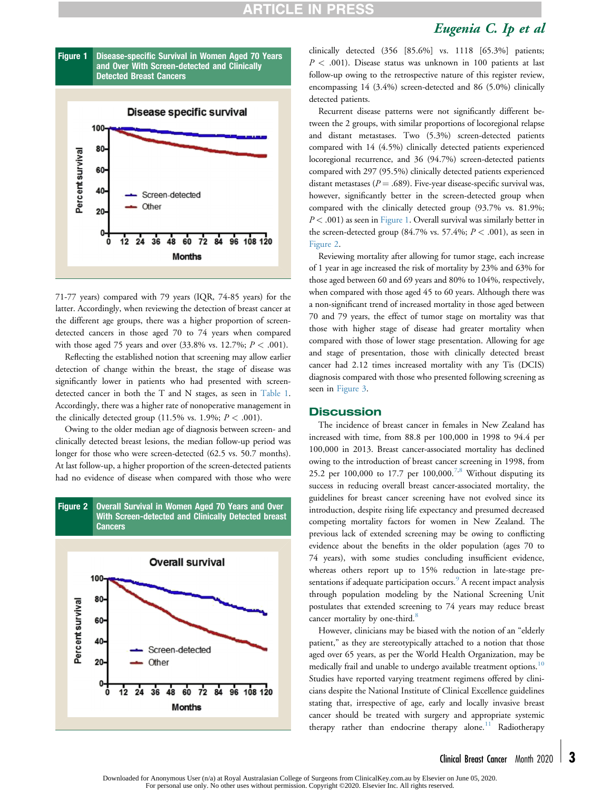## **ARTICLE IN P**

## Eugenia C. Ip et al





71-77 years) compared with 79 years (IQR, 74-85 years) for the latter. Accordingly, when reviewing the detection of breast cancer at the different age groups, there was a higher proportion of screendetected cancers in those aged 70 to 74 years when compared with those aged 75 years and over  $(33.8\% \text{ vs. } 12.7\%; P < .001)$ .

Reflecting the established notion that screening may allow earlier detection of change within the breast, the stage of disease was significantly lower in patients who had presented with screendetected cancer in both the T and N stages, as seen in Table 1. Accordingly, there was a higher rate of nonoperative management in the clinically detected group (11.5% vs. 1.9%;  $P < .001$ ).

Owing to the older median age of diagnosis between screen- and clinically detected breast lesions, the median follow-up period was longer for those who were screen-detected (62.5 vs. 50.7 months). At last follow-up, a higher proportion of the screen-detected patients had no evidence of disease when compared with those who were



clinically detected (356 [85.6%] vs. 1118 [65.3%] patients;  $P < .001$ ). Disease status was unknown in 100 patients at last follow-up owing to the retrospective nature of this register review, encompassing 14 (3.4%) screen-detected and 86 (5.0%) clinically detected patients.

Recurrent disease patterns were not significantly different between the 2 groups, with similar proportions of locoregional relapse and distant metastases. Two (5.3%) screen-detected patients compared with 14 (4.5%) clinically detected patients experienced locoregional recurrence, and 36 (94.7%) screen-detected patients compared with 297 (95.5%) clinically detected patients experienced distant metastases ( $P = .689$ ). Five-year disease-specific survival was, however, significantly better in the screen-detected group when compared with the clinically detected group (93.7% vs. 81.9%;  $P < .001$ ) as seen in Figure 1. Overall survival was similarly better in the screen-detected group (84.7% vs. 57.4%;  $P < .001$ ), as seen in Figure 2.

Reviewing mortality after allowing for tumor stage, each increase of 1 year in age increased the risk of mortality by 23% and 63% for those aged between 60 and 69 years and 80% to 104%, respectively, when compared with those aged 45 to 60 years. Although there was a non-significant trend of increased mortality in those aged between 70 and 79 years, the effect of tumor stage on mortality was that those with higher stage of disease had greater mortality when compared with those of lower stage presentation. Allowing for age and stage of presentation, those with clinically detected breast cancer had 2.12 times increased mortality with any Tis (DCIS) diagnosis compared with those who presented following screening as seen in Figure 3.

#### **Discussion**

The incidence of breast cancer in females in New Zealand has increased with time, from 88.8 per 100,000 in 1998 to 94.4 per 100,000 in 2013. Breast cancer-associated mortality has declined owing to the introduction of breast cancer screening in 1998, from 25.2 per 100,000 to 17.7 per  $100,000$ .<sup>7,8</sup> Without disputing its success in reducing overall breast cancer-associated mortality, the guidelines for breast cancer screening have not evolved since its introduction, despite rising life expectancy and presumed decreased competing mortality factors for women in New Zealand. The previous lack of extended screening may be owing to conflicting evidence about the benefits in the older population (ages 70 to 74 years), with some studies concluding insufficient evidence, whereas others report up to 15% reduction in late-stage presentations if adequate participation occurs.<sup>9</sup> A recent impact analysis through population modeling by the National Screening Unit postulates that extended screening to 74 years may reduce breast cancer mortality by one-third.<sup>8</sup>

However, clinicians may be biased with the notion of an "elderly patient," as they are stereotypically attached to a notion that those aged over 65 years, as per the World Health Organization, may be medically frail and unable to undergo available treatment options.<sup>10</sup> Studies have reported varying treatment regimens offered by clinicians despite the National Institute of Clinical Excellence guidelines stating that, irrespective of age, early and locally invasive breast cancer should be treated with surgery and appropriate systemic therapy rather than endocrine therapy alone.<sup>11</sup> Radiotherapy

Downloaded for Anonymous User (n/a) at Royal Australasian College of Surgeons from ClinicalKey.com.au by Elsevier on June 05, 2020. For personal use only. No other uses without permission. Copyright ©2020. Elsevier Inc. All rights reserved.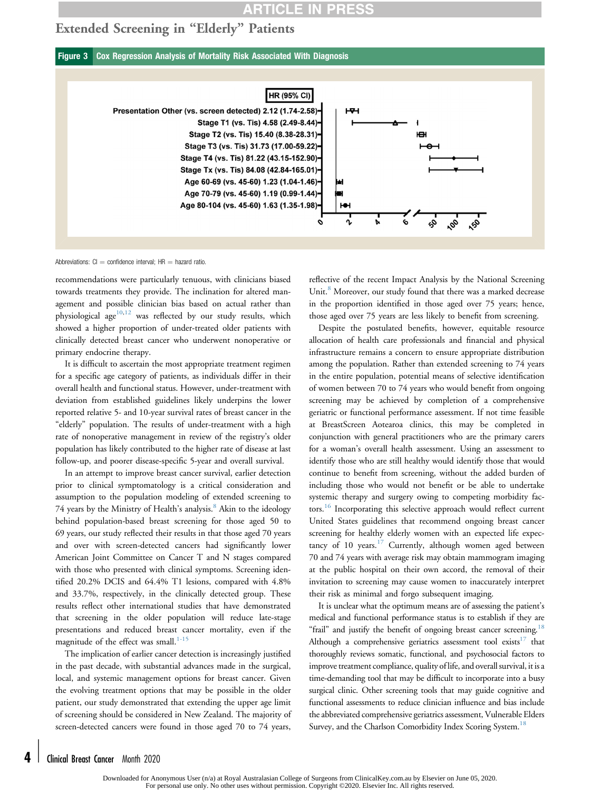## **ARTICLE IN PRE**

## Extended Screening in "Elderly" Patients

Figure 3 Cox Regression Analysis of Mortality Risk Associated With Diagnosis



Abbreviations:  $Cl =$  confidence interval; HR  $=$  hazard ratio.

recommendations were particularly tenuous, with clinicians biased towards treatments they provide. The inclination for altered management and possible clinician bias based on actual rather than physiological age $10,12$  was reflected by our study results, which showed a higher proportion of under-treated older patients with clinically detected breast cancer who underwent nonoperative or primary endocrine therapy.

It is difficult to ascertain the most appropriate treatment regimen for a specific age category of patients, as individuals differ in their overall health and functional status. However, under-treatment with deviation from established guidelines likely underpins the lower reported relative 5- and 10-year survival rates of breast cancer in the "elderly" population. The results of under-treatment with a high rate of nonoperative management in review of the registry's older population has likely contributed to the higher rate of disease at last follow-up, and poorer disease-specific 5-year and overall survival.

In an attempt to improve breast cancer survival, earlier detection prior to clinical symptomatology is a critical consideration and assumption to the population modeling of extended screening to 74 years by the Ministry of Health's analysis.<sup>8</sup> Akin to the ideology behind population-based breast screening for those aged 50 to 69 years, our study reflected their results in that those aged 70 years and over with screen-detected cancers had significantly lower American Joint Committee on Cancer T and N stages compared with those who presented with clinical symptoms. Screening identified 20.2% DCIS and 64.4% T1 lesions, compared with 4.8% and 33.7%, respectively, in the clinically detected group. These results reflect other international studies that have demonstrated that screening in the older population will reduce late-stage presentations and reduced breast cancer mortality, even if the magnitude of the effect was small. $1-15$ 

The implication of earlier cancer detection is increasingly justified in the past decade, with substantial advances made in the surgical, local, and systemic management options for breast cancer. Given the evolving treatment options that may be possible in the older patient, our study demonstrated that extending the upper age limit of screening should be considered in New Zealand. The majority of screen-detected cancers were found in those aged 70 to 74 years,

reflective of the recent Impact Analysis by the National Screening Unit.<sup>8</sup> Moreover, our study found that there was a marked decrease in the proportion identified in those aged over 75 years; hence, those aged over 75 years are less likely to benefit from screening.

Despite the postulated benefits, however, equitable resource allocation of health care professionals and financial and physical infrastructure remains a concern to ensure appropriate distribution among the population. Rather than extended screening to 74 years in the entire population, potential means of selective identification of women between 70 to 74 years who would benefit from ongoing screening may be achieved by completion of a comprehensive geriatric or functional performance assessment. If not time feasible at BreastScreen Aotearoa clinics, this may be completed in conjunction with general practitioners who are the primary carers for a woman's overall health assessment. Using an assessment to identify those who are still healthy would identify those that would continue to benefit from screening, without the added burden of including those who would not benefit or be able to undertake systemic therapy and surgery owing to competing morbidity factors.<sup>16</sup> Incorporating this selective approach would reflect current United States guidelines that recommend ongoing breast cancer screening for healthy elderly women with an expected life expectancy of  $10$  years.<sup>17</sup> Currently, although women aged between 70 and 74 years with average risk may obtain mammogram imaging at the public hospital on their own accord, the removal of their invitation to screening may cause women to inaccurately interpret their risk as minimal and forgo subsequent imaging.

It is unclear what the optimum means are of assessing the patient's medical and functional performance status is to establish if they are "frail" and justify the benefit of ongoing breast cancer screening.<sup>18</sup> Although a comprehensive geriatrics assessment tool exists<sup>17</sup> that thoroughly reviews somatic, functional, and psychosocial factors to improve treatment compliance, quality of life, and overall survival, it is a time-demanding tool that may be difficult to incorporate into a busy surgical clinic. Other screening tools that may guide cognitive and functional assessments to reduce clinician influence and bias include the abbreviated comprehensive geriatrics assessment, Vulnerable Elders Survey, and the Charlson Comorbidity Index Scoring System.<sup>1</sup>

Downloaded for Anonymous User (n/a) at Royal Australasian College of Surgeons from ClinicalKey.com.au by Elsevier on June 05, 2020. For personal use only. No other uses without permission. Copyright ©2020. Elsevier Inc. All rights reserved.